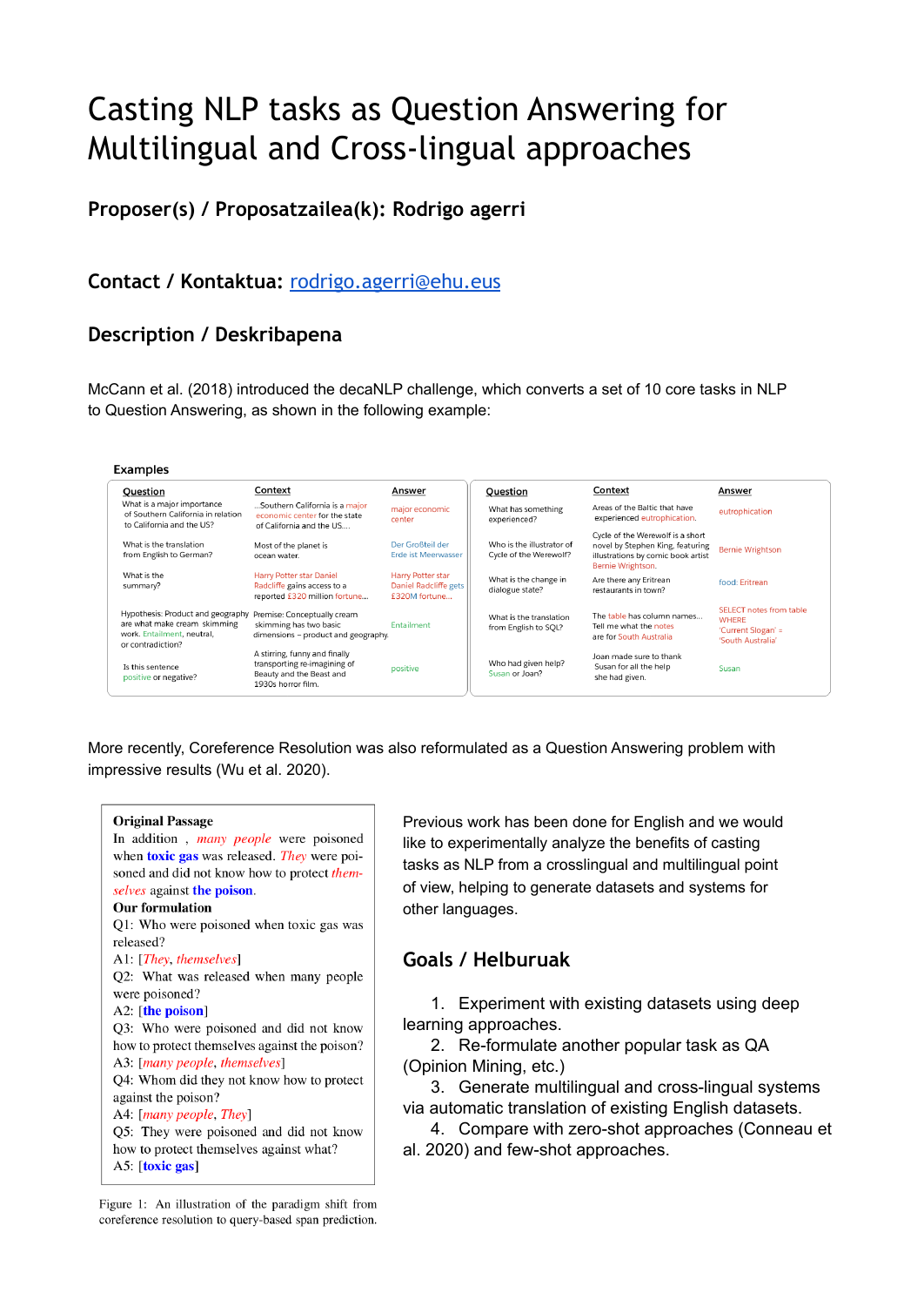# Casting NLP tasks as Question Answering for Multilingual and Cross-lingual approaches

# **Proposer(s) / Proposatzailea(k): Rodrigo agerri**

### **Contact / Kontaktua:** [rodrigo.agerri@ehu.eus](http://rodrigo.agerri@ehu.eus)

### **Description / Deskribapena**

McCann et al. (2018) introduced the decaNLP challenge, which converts a set of 10 core tasks in NLP to Question Answering, as shown in the following example:

#### **Examples**

| Question                                                                                                             | Context                                                                                                         | Answer                                                                    | Question                                            | Context                                                                                                                         | Answer                                                                                    |
|----------------------------------------------------------------------------------------------------------------------|-----------------------------------------------------------------------------------------------------------------|---------------------------------------------------------------------------|-----------------------------------------------------|---------------------------------------------------------------------------------------------------------------------------------|-------------------------------------------------------------------------------------------|
| What is a major importance<br>of Southern California in relation<br>to California and the US?                        | Southern California is a major<br>economic center for the state<br>of California and the US                     | major economic<br>center                                                  | What has something<br>experienced?                  | Areas of the Baltic that have<br>experienced eutrophication.                                                                    | eutrophication                                                                            |
| What is the translation<br>from English to German?                                                                   | Most of the planet is<br>ocean water.                                                                           | Der Großteil der<br><b>Erde ist Meerwasser</b>                            | Who is the illustrator of<br>Cycle of the Werewolf? | Cycle of the Werewolf is a short<br>novel by Stephen King, featuring<br>illustrations by comic book artist<br>Bernie Wrightson. | <b>Bernie Wrightson</b>                                                                   |
| What is the<br>summary?                                                                                              | <b>Harry Potter star Daniel</b><br>Radcliffe gains access to a<br>reported £320 million fortune                 | <b>Harry Potter star</b><br><b>Daniel Radcliffe gets</b><br>£320M fortune | What is the change in<br>dialogue state?            | Are there any Eritrean<br>restaurants in town?                                                                                  | food: Eritrean                                                                            |
| Hypothesis: Product and geography<br>are what make cream skimming<br>work. Entailment, neutral,<br>or contradiction? | Premise: Conceptually cream<br>skimming has two basic<br>dimensions – product and geography.                    | Entailment                                                                | What is the translation<br>from English to SQL?     | The table has column names<br>Tell me what the notes<br>are for South Australia                                                 | <b>SELECT notes from table</b><br><b>WHERE</b><br>'Current Slogan' =<br>'South Australia' |
| Is this sentence<br>positive or negative?                                                                            | A stirring, funny and finally<br>transporting re-imagining of<br>Beauty and the Beast and<br>1930s horror film. | positive                                                                  | Who had given help?<br>Susan or Joan?               | Joan made sure to thank<br>Susan for all the help<br>she had given.                                                             | Susan                                                                                     |

More recently, Coreference Resolution was also reformulated as a Question Answering problem with impressive results (Wu et al. 2020).

#### **Original Passage** In addition, many people were poisoned when toxic gas was released. They were poisoned and did not know how to protect themselves against the poison. **Our formulation** Q1: Who were poisoned when toxic gas was released?  $A1: [They, themselves]$ Q2: What was released when many people were poisoned? A2:  $[the **poison**]$ Q3: Who were poisoned and did not know how to protect themselves against the poison? A3: [many people, themselves] Q4: Whom did they not know how to protect against the poison? A4: [many people, They] Q5: They were poisoned and did not know how to protect themselves against what? A5:  $[toxic gas]$

Figure 1: An illustration of the paradigm shift from coreference resolution to query-based span prediction.

Previous work has been done for English and we would like to experimentally analyze the benefits of casting tasks as NLP from a crosslingual and multilingual point of view, helping to generate datasets and systems for other languages.

## **Goals / Helburuak**

1. Experiment with existing datasets using deep learning approaches.

2. Re-formulate another popular task as QA (Opinion Mining, etc.)

3. Generate multilingual and cross-lingual systems via automatic translation of existing English datasets.

4. Compare with zero-shot approaches (Conneau et al. 2020) and few-shot approaches.